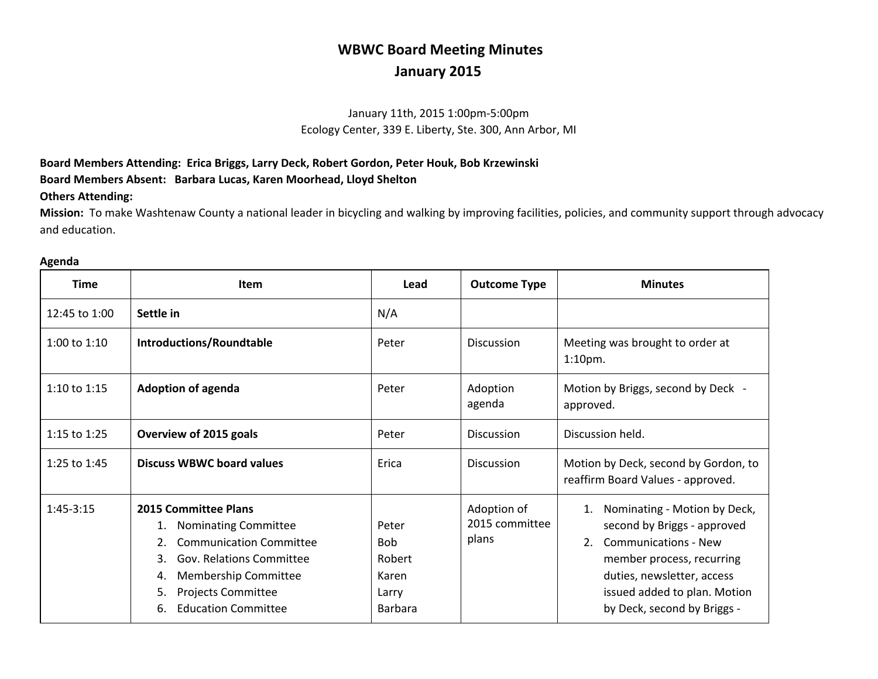# **WBWC Board Meeting Minutes January 2015**

## January 11th, 2015 1:00pm-5:00pm Ecology Center, 339 E. Liberty, Ste. 300, Ann Arbor, MI

### **Board Members Attending: Erica Briggs, Larry Deck, Robert Gordon, Peter Houk, Bob Krzewinski Board Members Absent: Barbara Lucas, Karen Moorhead, Lloyd Shelton**

#### **Others Attending:**

**Mission:** To make Washtenaw County a national leader in bicycling and walking by improving facilities, policies, and community support through advocacy and education.

| <b>Time</b>    | <b>Item</b>                                                                                                                                                                                                                                             | Lead                                                              | <b>Outcome Type</b>                    | <b>Minutes</b>                                                                                                                                                                                                             |
|----------------|---------------------------------------------------------------------------------------------------------------------------------------------------------------------------------------------------------------------------------------------------------|-------------------------------------------------------------------|----------------------------------------|----------------------------------------------------------------------------------------------------------------------------------------------------------------------------------------------------------------------------|
| 12:45 to 1:00  | Settle in                                                                                                                                                                                                                                               | N/A                                                               |                                        |                                                                                                                                                                                                                            |
| 1:00 to $1:10$ | <b>Introductions/Roundtable</b>                                                                                                                                                                                                                         | Peter                                                             | <b>Discussion</b>                      | Meeting was brought to order at<br>$1:10pm$ .                                                                                                                                                                              |
| 1:10 to $1:15$ | <b>Adoption of agenda</b>                                                                                                                                                                                                                               | Peter                                                             | Adoption<br>agenda                     | Motion by Briggs, second by Deck -<br>approved.                                                                                                                                                                            |
| 1:15 to $1:25$ | Overview of 2015 goals                                                                                                                                                                                                                                  | Peter                                                             | <b>Discussion</b>                      | Discussion held.                                                                                                                                                                                                           |
| 1:25 to 1:45   | <b>Discuss WBWC board values</b>                                                                                                                                                                                                                        | Erica                                                             | <b>Discussion</b>                      | Motion by Deck, second by Gordon, to<br>reaffirm Board Values - approved.                                                                                                                                                  |
| $1:45-3:15$    | <b>2015 Committee Plans</b><br><b>Nominating Committee</b><br>1.<br><b>Communication Committee</b><br><b>Gov. Relations Committee</b><br>3.<br><b>Membership Committee</b><br>4.<br><b>Projects Committee</b><br>5.<br><b>Education Committee</b><br>6. | Peter<br><b>Bob</b><br>Robert<br>Karen<br>Larry<br><b>Barbara</b> | Adoption of<br>2015 committee<br>plans | Nominating - Motion by Deck,<br>second by Briggs - approved<br><b>Communications - New</b><br>2.<br>member process, recurring<br>duties, newsletter, access<br>issued added to plan. Motion<br>by Deck, second by Briggs - |

#### **Agenda**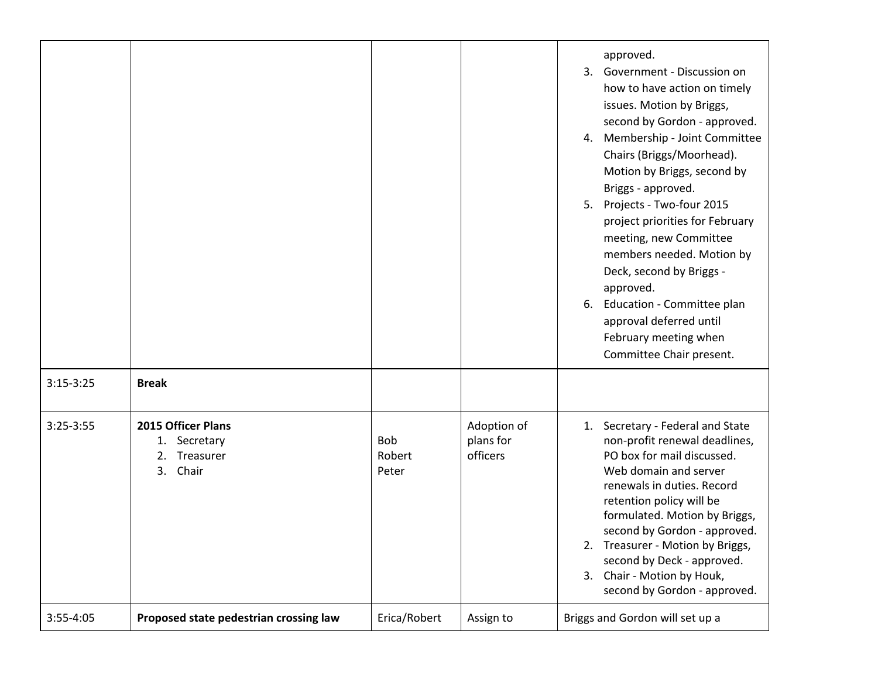| $3:15-3:25$ | <b>Break</b>                                                      |                               |                                      | approved.<br>Government - Discussion on<br>3.<br>how to have action on timely<br>issues. Motion by Briggs,<br>second by Gordon - approved.<br>Membership - Joint Committee<br>4.<br>Chairs (Briggs/Moorhead).<br>Motion by Briggs, second by<br>Briggs - approved.<br>Projects - Two-four 2015<br>5.<br>project priorities for February<br>meeting, new Committee<br>members needed. Motion by<br>Deck, second by Briggs -<br>approved.<br>Education - Committee plan<br>6.<br>approval deferred until<br>February meeting when<br>Committee Chair present. |
|-------------|-------------------------------------------------------------------|-------------------------------|--------------------------------------|-------------------------------------------------------------------------------------------------------------------------------------------------------------------------------------------------------------------------------------------------------------------------------------------------------------------------------------------------------------------------------------------------------------------------------------------------------------------------------------------------------------------------------------------------------------|
| $3:25-3:55$ | 2015 Officer Plans<br>1. Secretary<br>Treasurer<br>2.<br>3. Chair | <b>Bob</b><br>Robert<br>Peter | Adoption of<br>plans for<br>officers | 1. Secretary - Federal and State<br>non-profit renewal deadlines,<br>PO box for mail discussed.<br>Web domain and server<br>renewals in duties. Record<br>retention policy will be<br>formulated. Motion by Briggs,<br>second by Gordon - approved.<br>2. Treasurer - Motion by Briggs,<br>second by Deck - approved.<br>3. Chair - Motion by Houk,<br>second by Gordon - approved.                                                                                                                                                                         |
| 3:55-4:05   | Proposed state pedestrian crossing law                            | Erica/Robert                  | Assign to                            | Briggs and Gordon will set up a                                                                                                                                                                                                                                                                                                                                                                                                                                                                                                                             |